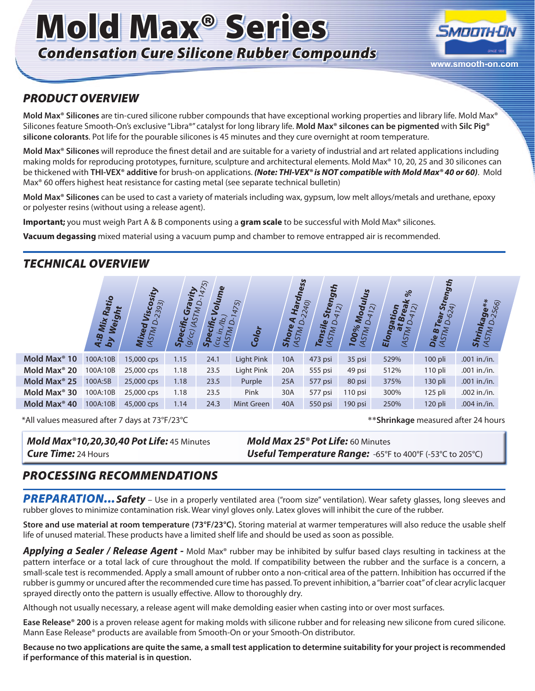# Mold Max® Series *Condensation Cure Silicone Rubber Compounds*



#### *PRODUCT OVERVIEW*

**Mold Max® Silicones** are tin-cured silicone rubber compounds that have exceptional working properties and library life. Mold Max® Silicones feature Smooth-On's exclusive "Libra®" catalyst for long library life. **Mold Max® silcones can be pigmented** with **Silc Pig® silicone colorants**. Pot life for the pourable silicones is 45 minutes and they cure overnight at room temperature.

**Mold Max® Silicones** will reproduce the finest detail and are suitable for a variety of industrial and art related applications including making molds for reproducing prototypes, furniture, sculpture and architectural elements. Mold Max® 10, 20, 25 and 30 silicones can be thickened with **THI-VEX® additive** for brush-on applications. *(Note: THI-VEX® is NOT compatible with Mold Max® 40 or 60)*. Mold Max® 60 offers highest heat resistance for casting metal (see separate technical bulletin)

**Mold Max® Silicones** can be used to cast a variety of materials including wax, gypsum, low melt alloys/metals and urethane, epoxy or polyester resins (without using a release agent).

**Important;** you must weigh Part A & B components using a **gram scale** to be successful with Mold Max® silicones.

**Vacuum degassing** mixed material using a vacuum pump and chamber to remove entrapped air is recommended.

### *TECHNICAL OVERVIEW*



| Mold Max® 20             | 100A:10B | 25,000 cps | 1.18 | 23.5 | Light Pink    | 20A | $555$ psi | 49 psi    | 512% | 110 pli | .001 in./in.   |
|--------------------------|----------|------------|------|------|---------------|-----|-----------|-----------|------|---------|----------------|
| Mold Max <sup>®</sup> 25 | 100A:5B  | 25,000 cps | 1.18 | 23.5 | <b>Purple</b> | 25A | 577 psi   | $80$ psi  | 375% | 130 pli | $.001$ in./in. |
| Mold Max® 30             | 100A:10B | 25,000 cps | 1.18 | 23.5 | Pink          | 30A | 577 psi   | $110$ psi | 300% | 125 pli | $.002$ in./in. |
| Mold Max <sup>®</sup> 40 | 100A:10B | 45,000 cps | 1.14 | 24.3 | Mint Green    | 40A | $550$ psi | $190$ psi | 250% | 120 pli | $.004$ in./in. |

\*All values measured after 7 days at 73°F/23°C \*\***Shrinkage** measured after 24 hours

## *Mold Max®10,20,30,40 Pot Life:* 45 Minutes *Mold Max 25® Pot Life:* 60 Minutes

*Cure Time:* 24 Hours *Useful Temperature Range:* -65°F to 400°F (-53°C to 205°C)

#### *PROCESSING RECOMMENDATIONS*

PREPARATION... Safety - Use in a properly ventilated area ("room size" ventilation). Wear safety glasses, long sleeves and rubber gloves to minimize contamination risk. Wear vinyl gloves only. Latex gloves will inhibit the cure of the rubber.

**Store and use material at room temperature (73°F/23°C).** Storing material at warmer temperatures will also reduce the usable shelf life of unused material. These products have a limited shelf life and should be used as soon as possible.

*Applying a Sealer / Release Agent -* Mold Max® rubber may be inhibited by sulfur based clays resulting in tackiness at the pattern interface or a total lack of cure throughout the mold. If compatibility between the rubber and the surface is a concern, a small-scale test is recommended. Apply a small amount of rubber onto a non-critical area of the pattern. Inhibition has occurred if the rubber is gummy or uncured after the recommended cure time has passed. To prevent inhibition, a "barrier coat" of clear acrylic lacquer sprayed directly onto the pattern is usually effective. Allow to thoroughly dry.

Although not usually necessary, a release agent will make demolding easier when casting into or over most surfaces.

**Ease Release® 200** is a proven release agent for making molds with silicone rubber and for releasing new silicone from cured silicone. Mann Ease Release® products are available from Smooth-On or your Smooth-On distributor.

**Because no two applications are quite the same, a small test application to determine suitability for your project is recommended if performance of this material is in question.**